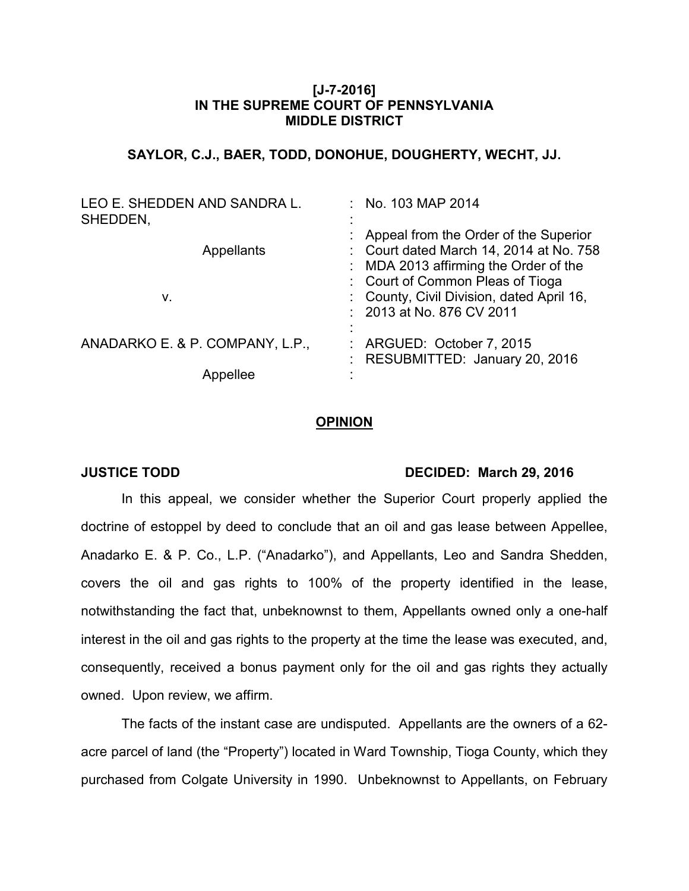## **[J-7-2016] IN THE SUPREME COURT OF PENNSYLVANIA MIDDLE DISTRICT**

# **SAYLOR, C.J., BAER, TODD, DONOHUE, DOUGHERTY, WECHT, JJ.**

| LEO E. SHEDDEN AND SANDRA L.<br>SHEDDEN, | : No. 103 MAP 2014                                                                                                                                              |
|------------------------------------------|-----------------------------------------------------------------------------------------------------------------------------------------------------------------|
| Appellants                               | : Appeal from the Order of the Superior<br>: Court dated March 14, 2014 at No. 758<br>: MDA 2013 affirming the Order of the<br>: Court of Common Pleas of Tioga |
| v.                                       | : County, Civil Division, dated April 16,<br>: 2013 at No. 876 CV 2011                                                                                          |
| ANADARKO E. & P. COMPANY, L.P.,          | : ARGUED: October 7, 2015<br>: RESUBMITTED: January 20, 2016                                                                                                    |
|                                          |                                                                                                                                                                 |

#### **OPINION**

### **JUSTICE TODD DECIDED: March 29, 2016**

In this appeal, we consider whether the Superior Court properly applied the doctrine of estoppel by deed to conclude that an oil and gas lease between Appellee, Anadarko E. & P. Co., L.P. ("Anadarko"), and Appellants, Leo and Sandra Shedden, covers the oil and gas rights to 100% of the property identified in the lease, notwithstanding the fact that, unbeknownst to them, Appellants owned only a one-half interest in the oil and gas rights to the property at the time the lease was executed, and, consequently, received a bonus payment only for the oil and gas rights they actually owned. Upon review, we affirm.

The facts of the instant case are undisputed. Appellants are the owners of a 62 acre parcel of land (the "Property") located in Ward Township, Tioga County, which they purchased from Colgate University in 1990. Unbeknownst to Appellants, on February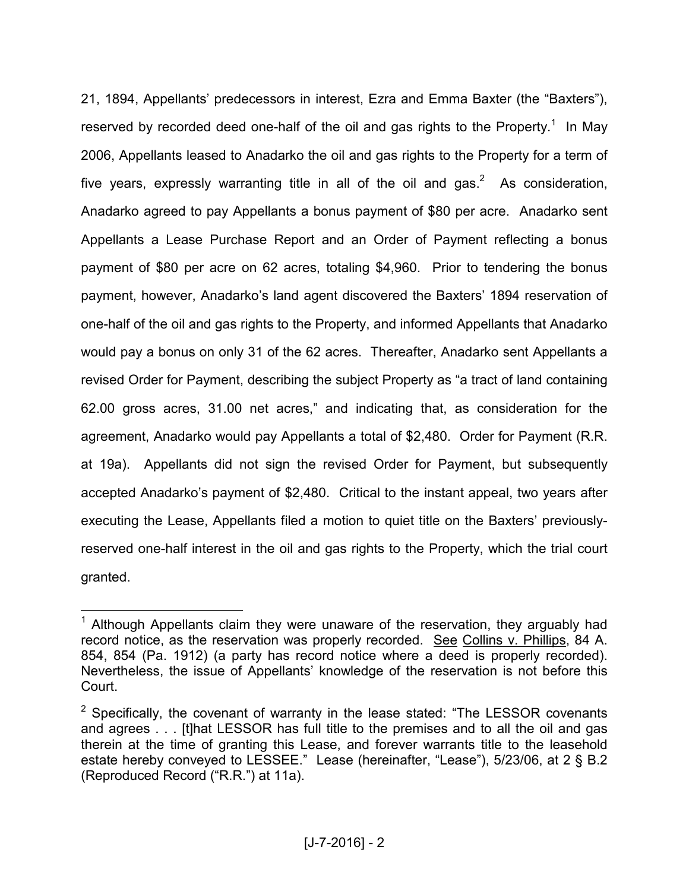21, 1894, Appellants' predecessors in interest, Ezra and Emma Baxter (the "Baxters"), reserved by recorded deed one-half of the oil and gas rights to the Property.<sup>1</sup> In May 2006, Appellants leased to Anadarko the oil and gas rights to the Property for a term of five years, expressly warranting title in all of the oil and gas.<sup>2</sup> As consideration, Anadarko agreed to pay Appellants a bonus payment of \$80 per acre. Anadarko sent Appellants a Lease Purchase Report and an Order of Payment reflecting a bonus payment of \$80 per acre on 62 acres, totaling \$4,960. Prior to tendering the bonus payment, however, Anadarko's land agent discovered the Baxters' 1894 reservation of one-half of the oil and gas rights to the Property, and informed Appellants that Anadarko would pay a bonus on only 31 of the 62 acres. Thereafter, Anadarko sent Appellants a revised Order for Payment, describing the subject Property as "a tract of land containing 62.00 gross acres, 31.00 net acres," and indicating that, as consideration for the agreement, Anadarko would pay Appellants a total of \$2,480. Order for Payment (R.R. at 19a). Appellants did not sign the revised Order for Payment, but subsequently accepted Anadarko's payment of \$2,480. Critical to the instant appeal, two years after executing the Lease, Appellants filed a motion to quiet title on the Baxters' previouslyreserved one-half interest in the oil and gas rights to the Property, which the trial court granted.

 $\overline{a}$ 

<sup>&</sup>lt;sup>1</sup> Although Appellants claim they were unaware of the reservation, they arguably had record notice, as the reservation was properly recorded. See Collins v. Phillips, 84 A. 854, 854 (Pa. 1912) (a party has record notice where a deed is properly recorded). Nevertheless, the issue of Appellants' knowledge of the reservation is not before this Court.

 $2$  Specifically, the covenant of warranty in the lease stated: "The LESSOR covenants and agrees . . . [t]hat LESSOR has full title to the premises and to all the oil and gas therein at the time of granting this Lease, and forever warrants title to the leasehold estate hereby conveyed to LESSEE." Lease (hereinafter, "Lease"), 5/23/06, at 2 § B.2 (Reproduced Record ("R.R.") at 11a).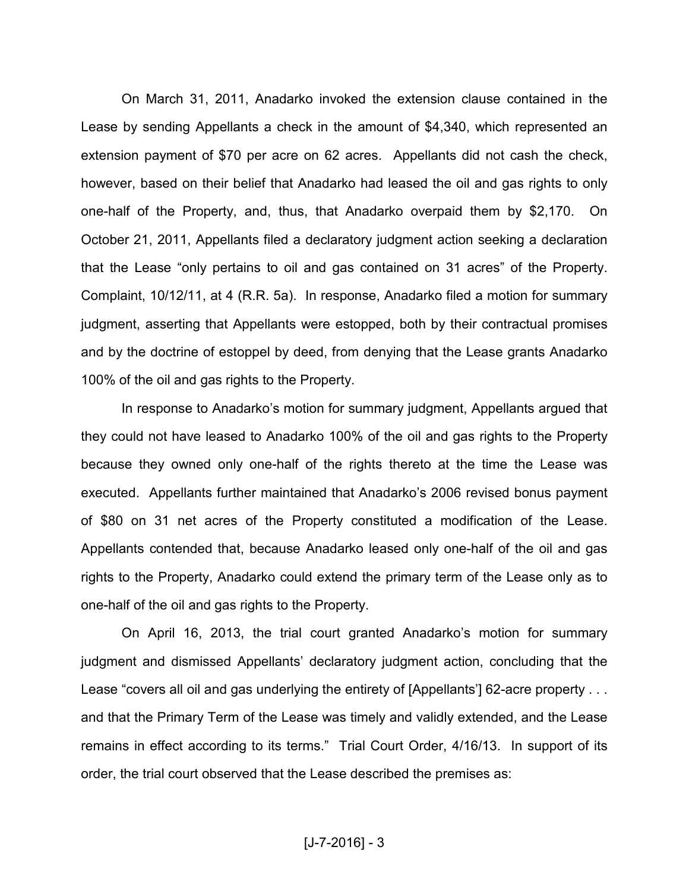On March 31, 2011, Anadarko invoked the extension clause contained in the Lease by sending Appellants a check in the amount of \$4,340, which represented an extension payment of \$70 per acre on 62 acres. Appellants did not cash the check, however, based on their belief that Anadarko had leased the oil and gas rights to only one-half of the Property, and, thus, that Anadarko overpaid them by \$2,170. On October 21, 2011, Appellants filed a declaratory judgment action seeking a declaration that the Lease "only pertains to oil and gas contained on 31 acres" of the Property. Complaint, 10/12/11, at 4 (R.R. 5a). In response, Anadarko filed a motion for summary judgment, asserting that Appellants were estopped, both by their contractual promises and by the doctrine of estoppel by deed, from denying that the Lease grants Anadarko 100% of the oil and gas rights to the Property.

In response to Anadarko's motion for summary judgment, Appellants argued that they could not have leased to Anadarko 100% of the oil and gas rights to the Property because they owned only one-half of the rights thereto at the time the Lease was executed. Appellants further maintained that Anadarko's 2006 revised bonus payment of \$80 on 31 net acres of the Property constituted a modification of the Lease. Appellants contended that, because Anadarko leased only one-half of the oil and gas rights to the Property, Anadarko could extend the primary term of the Lease only as to one-half of the oil and gas rights to the Property.

On April 16, 2013, the trial court granted Anadarko's motion for summary judgment and dismissed Appellants' declaratory judgment action, concluding that the Lease "covers all oil and gas underlying the entirety of [Appellants'] 62-acre property . . . and that the Primary Term of the Lease was timely and validly extended, and the Lease remains in effect according to its terms." Trial Court Order, 4/16/13. In support of its order, the trial court observed that the Lease described the premises as: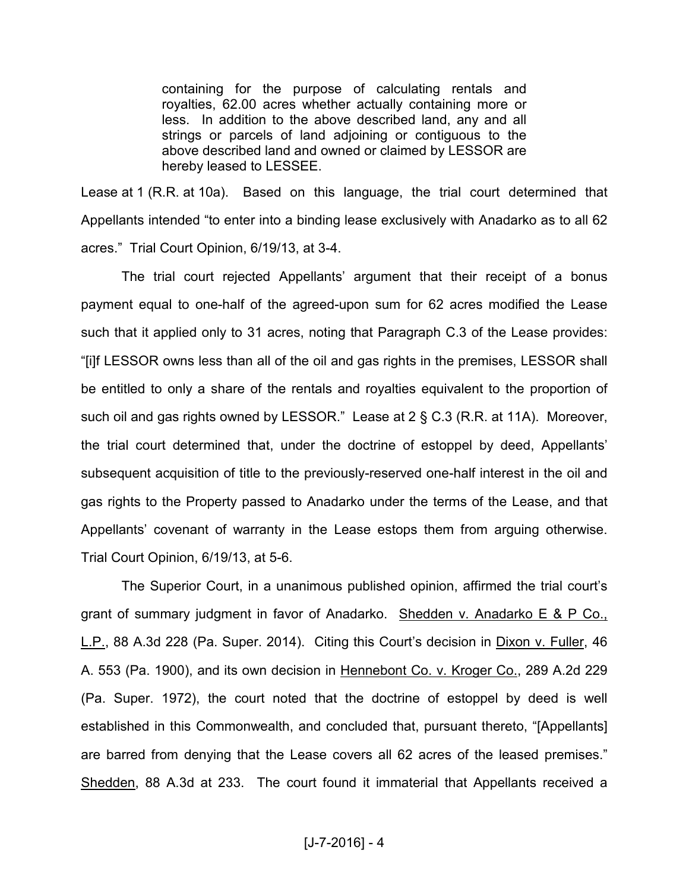containing for the purpose of calculating rentals and royalties, 62.00 acres whether actually containing more or less. In addition to the above described land, any and all strings or parcels of land adjoining or contiguous to the above described land and owned or claimed by LESSOR are hereby leased to LESSEE.

Lease at 1 (R.R. at 10a). Based on this language, the trial court determined that Appellants intended "to enter into a binding lease exclusively with Anadarko as to all 62 acres." Trial Court Opinion, 6/19/13, at 3-4.

 The trial court rejected Appellants' argument that their receipt of a bonus payment equal to one-half of the agreed-upon sum for 62 acres modified the Lease such that it applied only to 31 acres, noting that Paragraph C.3 of the Lease provides: "[i]f LESSOR owns less than all of the oil and gas rights in the premises, LESSOR shall be entitled to only a share of the rentals and royalties equivalent to the proportion of such oil and gas rights owned by LESSOR." Lease at 2 § C.3 (R.R. at 11A). Moreover, the trial court determined that, under the doctrine of estoppel by deed, Appellants' subsequent acquisition of title to the previously-reserved one-half interest in the oil and gas rights to the Property passed to Anadarko under the terms of the Lease, and that Appellants' covenant of warranty in the Lease estops them from arguing otherwise. Trial Court Opinion, 6/19/13, at 5-6.

 The Superior Court, in a unanimous published opinion, affirmed the trial court's grant of summary judgment in favor of Anadarko. Shedden v. Anadarko E & P Co., L.P., 88 A.3d 228 (Pa. Super. 2014). Citing this Court's decision in Dixon v. Fuller, 46 A. 553 (Pa. 1900), and its own decision in Hennebont Co. v. Kroger Co., 289 A.2d 229 (Pa. Super. 1972), the court noted that the doctrine of estoppel by deed is well established in this Commonwealth, and concluded that, pursuant thereto, "[Appellants] are barred from denying that the Lease covers all 62 acres of the leased premises." Shedden, 88 A.3d at 233. The court found it immaterial that Appellants received a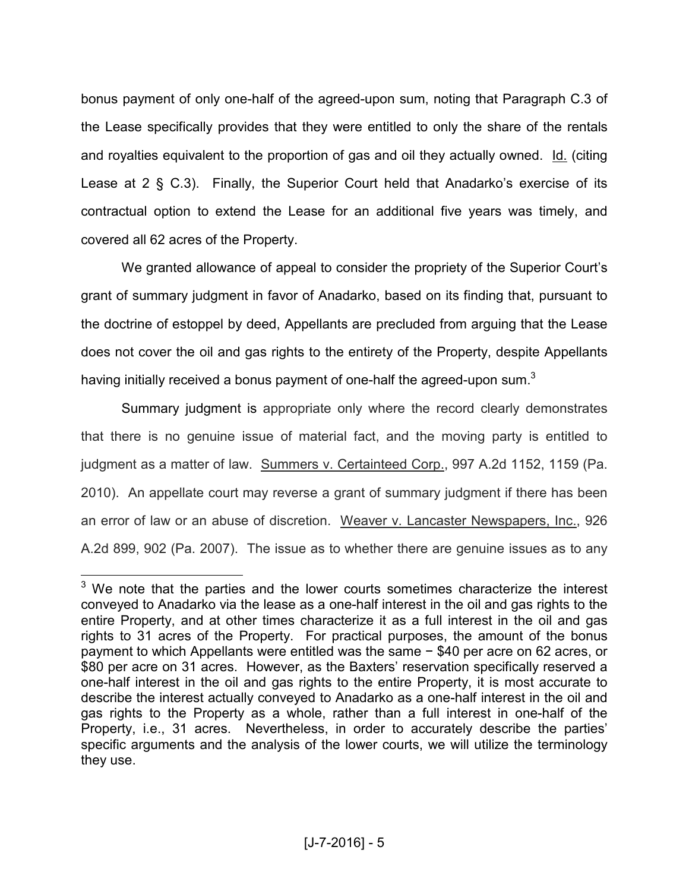bonus payment of only one-half of the agreed-upon sum, noting that Paragraph C.3 of the Lease specifically provides that they were entitled to only the share of the rentals and royalties equivalent to the proportion of gas and oil they actually owned. Id. (citing Lease at 2 § C.3). Finally, the Superior Court held that Anadarko's exercise of its contractual option to extend the Lease for an additional five years was timely, and covered all 62 acres of the Property.

 We granted allowance of appeal to consider the propriety of the Superior Court's grant of summary judgment in favor of Anadarko, based on its finding that, pursuant to the doctrine of estoppel by deed, Appellants are precluded from arguing that the Lease does not cover the oil and gas rights to the entirety of the Property, despite Appellants having initially received a bonus payment of one-half the agreed-upon sum.<sup>3</sup>

 Summary judgment is appropriate only where the record clearly demonstrates that there is no genuine issue of material fact, and the moving party is entitled to judgment as a matter of law. Summers v. Certainteed Corp., 997 A.2d 1152, 1159 (Pa. 2010). An appellate court may reverse a grant of summary judgment if there has been an error of law or an abuse of discretion. Weaver v. Lancaster Newspapers, Inc., 926 A.2d 899, 902 (Pa. 2007). The issue as to whether there are genuine issues as to any

**EXECUTE:**<br><sup>3</sup> We note that the parties and the lower courts sometimes characterize the interest conveyed to Anadarko via the lease as a one-half interest in the oil and gas rights to the entire Property, and at other times characterize it as a full interest in the oil and gas rights to 31 acres of the Property. For practical purposes, the amount of the bonus payment to which Appellants were entitled was the same − \$40 per acre on 62 acres, or \$80 per acre on 31 acres. However, as the Baxters' reservation specifically reserved a one-half interest in the oil and gas rights to the entire Property, it is most accurate to describe the interest actually conveyed to Anadarko as a one-half interest in the oil and gas rights to the Property as a whole, rather than a full interest in one-half of the Property, i.e., 31 acres. Nevertheless, in order to accurately describe the parties' specific arguments and the analysis of the lower courts, we will utilize the terminology they use.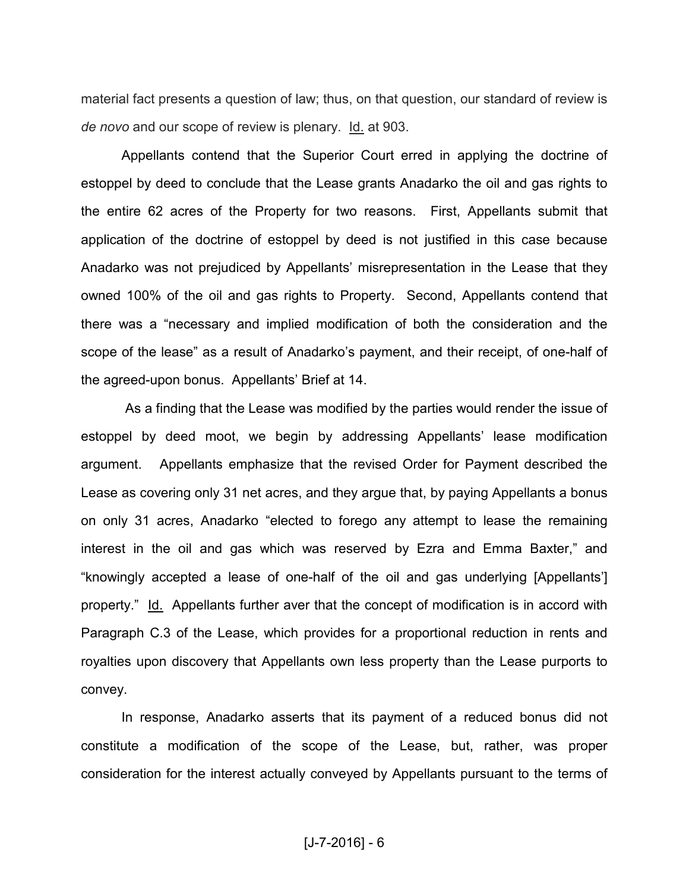material fact presents a question of law; thus, on that question, our standard of review is *de novo* and our scope of review is plenary. Id. at 903.

Appellants contend that the Superior Court erred in applying the doctrine of estoppel by deed to conclude that the Lease grants Anadarko the oil and gas rights to the entire 62 acres of the Property for two reasons. First, Appellants submit that application of the doctrine of estoppel by deed is not justified in this case because Anadarko was not prejudiced by Appellants' misrepresentation in the Lease that they owned 100% of the oil and gas rights to Property. Second, Appellants contend that there was a "necessary and implied modification of both the consideration and the scope of the lease" as a result of Anadarko's payment, and their receipt, of one-half of the agreed-upon bonus. Appellants' Brief at 14.

 As a finding that the Lease was modified by the parties would render the issue of estoppel by deed moot, we begin by addressing Appellants' lease modification argument. Appellants emphasize that the revised Order for Payment described the Lease as covering only 31 net acres, and they argue that, by paying Appellants a bonus on only 31 acres, Anadarko "elected to forego any attempt to lease the remaining interest in the oil and gas which was reserved by Ezra and Emma Baxter," and "knowingly accepted a lease of one-half of the oil and gas underlying [Appellants'] property." Id. Appellants further aver that the concept of modification is in accord with Paragraph C.3 of the Lease, which provides for a proportional reduction in rents and royalties upon discovery that Appellants own less property than the Lease purports to convey.

In response, Anadarko asserts that its payment of a reduced bonus did not constitute a modification of the scope of the Lease, but, rather, was proper consideration for the interest actually conveyed by Appellants pursuant to the terms of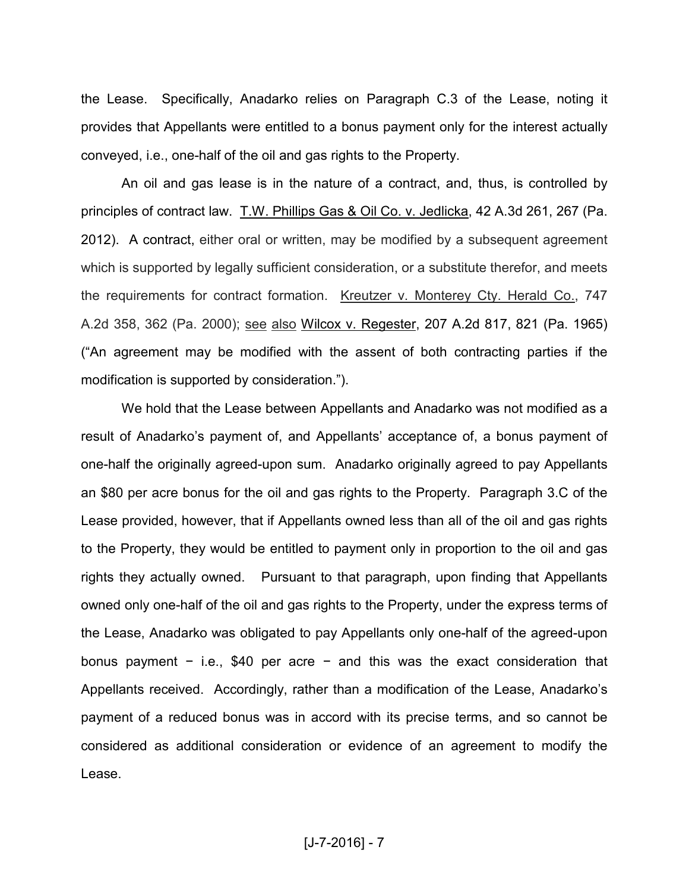the Lease. Specifically, Anadarko relies on Paragraph C.3 of the Lease, noting it provides that Appellants were entitled to a bonus payment only for the interest actually conveyed, i.e., one-half of the oil and gas rights to the Property.

An oil and gas lease is in the nature of a contract, and, thus, is controlled by principles of contract law. T.W. Phillips Gas & Oil Co. v. Jedlicka, 42 A.3d 261, 267 (Pa. 2012). A contract, either oral or written, may be modified by a subsequent agreement which is supported by legally sufficient consideration, or a substitute therefor, and meets the requirements for contract formation. Kreutzer v. Monterey Cty. Herald Co., 747 A.2d 358, 362 (Pa. 2000); see also Wilcox v. Regester, 207 A.2d 817, 821 (Pa. 1965) ("An agreement may be modified with the assent of both contracting parties if the modification is supported by consideration.").

We hold that the Lease between Appellants and Anadarko was not modified as a result of Anadarko's payment of, and Appellants' acceptance of, a bonus payment of one-half the originally agreed-upon sum. Anadarko originally agreed to pay Appellants an \$80 per acre bonus for the oil and gas rights to the Property. Paragraph 3.C of the Lease provided, however, that if Appellants owned less than all of the oil and gas rights to the Property, they would be entitled to payment only in proportion to the oil and gas rights they actually owned. Pursuant to that paragraph, upon finding that Appellants owned only one-half of the oil and gas rights to the Property, under the express terms of the Lease, Anadarko was obligated to pay Appellants only one-half of the agreed-upon bonus payment − i.e., \$40 per acre − and this was the exact consideration that Appellants received. Accordingly, rather than a modification of the Lease, Anadarko's payment of a reduced bonus was in accord with its precise terms, and so cannot be considered as additional consideration or evidence of an agreement to modify the Lease.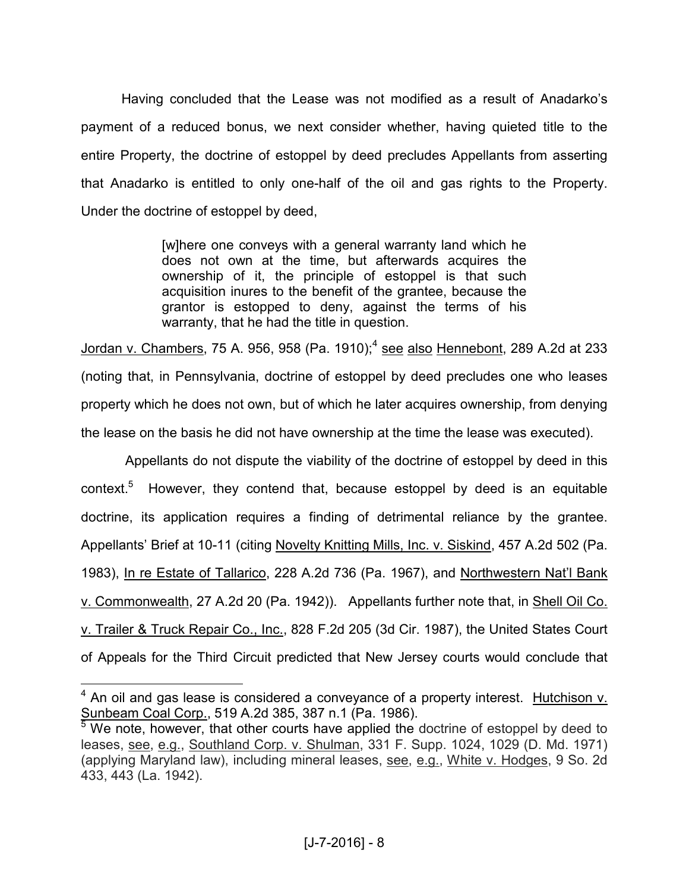Having concluded that the Lease was not modified as a result of Anadarko's payment of a reduced bonus, we next consider whether, having quieted title to the entire Property, the doctrine of estoppel by deed precludes Appellants from asserting that Anadarko is entitled to only one-half of the oil and gas rights to the Property. Under the doctrine of estoppel by deed,

> [w]here one conveys with a general warranty land which he does not own at the time, but afterwards acquires the ownership of it, the principle of estoppel is that such acquisition inures to the benefit of the grantee, because the grantor is estopped to deny, against the terms of his warranty, that he had the title in question.

Jordan v. Chambers, 75 A. 956, 958 (Pa. 1910);<sup>4</sup> see also Hennebont, 289 A.2d at 233 (noting that, in Pennsylvania, doctrine of estoppel by deed precludes one who leases property which he does not own, but of which he later acquires ownership, from denying the lease on the basis he did not have ownership at the time the lease was executed).

 Appellants do not dispute the viability of the doctrine of estoppel by deed in this context.<sup>5</sup> However, they contend that, because estoppel by deed is an equitable doctrine, its application requires a finding of detrimental reliance by the grantee. Appellants' Brief at 10-11 (citing Novelty Knitting Mills, Inc. v. Siskind, 457 A.2d 502 (Pa. 1983), In re Estate of Tallarico, 228 A.2d 736 (Pa. 1967), and Northwestern Nat'l Bank v. Commonwealth, 27 A.2d 20 (Pa. 1942)). Appellants further note that, in Shell Oil Co. v. Trailer & Truck Repair Co., Inc., 828 F.2d 205 (3d Cir. 1987), the United States Court of Appeals for the Third Circuit predicted that New Jersey courts would conclude that

**ALCORED EXECTS**<br>4 An oil and gas lease is considered a conveyance of a property interest. Hutchison v. Sunbeam Coal Corp., 519 A.2d 385, 387 n.1 (Pa. 1986).

 $5$  We note, however, that other courts have applied the doctrine of estoppel by deed to leases, see, e.g., Southland Corp. v. Shulman, 331 F. Supp. 1024, 1029 (D. Md. 1971) (applying Maryland law), including mineral leases, see, e.g., White v. Hodges, 9 So. 2d 433, 443 (La. 1942).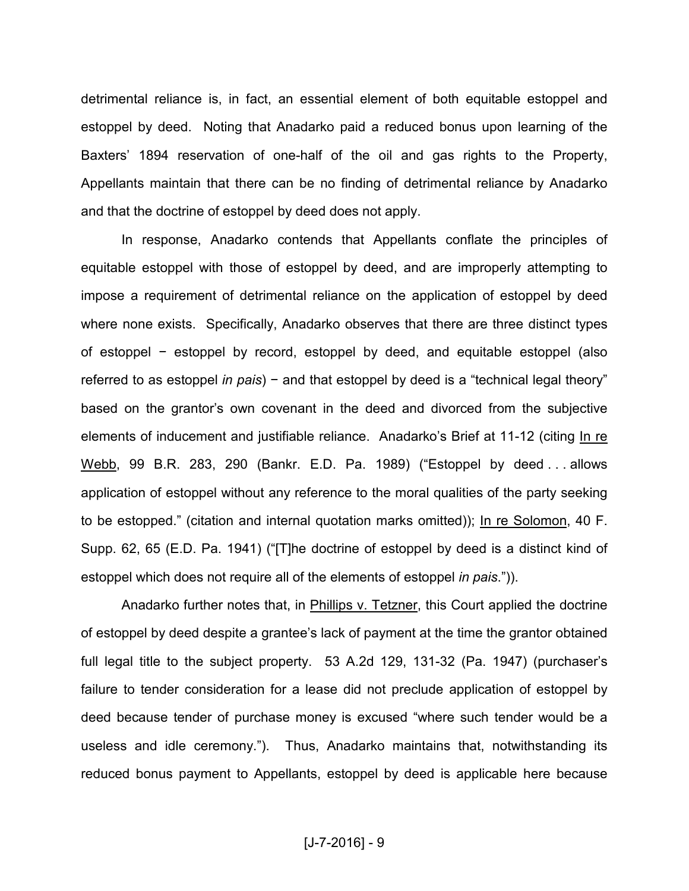detrimental reliance is, in fact, an essential element of both equitable estoppel and estoppel by deed. Noting that Anadarko paid a reduced bonus upon learning of the Baxters' 1894 reservation of one-half of the oil and gas rights to the Property, Appellants maintain that there can be no finding of detrimental reliance by Anadarko and that the doctrine of estoppel by deed does not apply.

In response, Anadarko contends that Appellants conflate the principles of equitable estoppel with those of estoppel by deed, and are improperly attempting to impose a requirement of detrimental reliance on the application of estoppel by deed where none exists. Specifically, Anadarko observes that there are three distinct types of estoppel − estoppel by record, estoppel by deed, and equitable estoppel (also referred to as estoppel *in pais*) − and that estoppel by deed is a "technical legal theory" based on the grantor's own covenant in the deed and divorced from the subjective elements of inducement and justifiable reliance. Anadarko's Brief at 11-12 (citing In re Webb, 99 B.R. 283, 290 (Bankr. E.D. Pa. 1989) ("Estoppel by deed . . . allows application of estoppel without any reference to the moral qualities of the party seeking to be estopped." (citation and internal quotation marks omitted)); In re Solomon, 40 F. Supp. 62, 65 (E.D. Pa. 1941) ("[T]he doctrine of estoppel by deed is a distinct kind of estoppel which does not require all of the elements of estoppel *in pais*.")).

Anadarko further notes that, in Phillips v. Tetzner, this Court applied the doctrine of estoppel by deed despite a grantee's lack of payment at the time the grantor obtained full legal title to the subject property. 53 A.2d 129, 131-32 (Pa. 1947) (purchaser's failure to tender consideration for a lease did not preclude application of estoppel by deed because tender of purchase money is excused "where such tender would be a useless and idle ceremony."). Thus, Anadarko maintains that, notwithstanding its reduced bonus payment to Appellants, estoppel by deed is applicable here because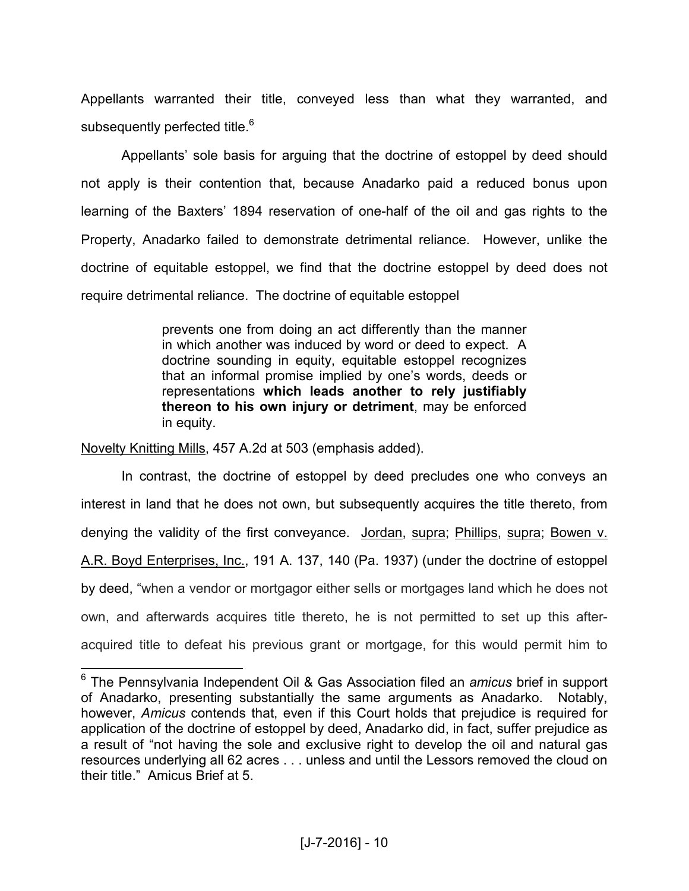Appellants warranted their title, conveyed less than what they warranted, and subsequently perfected title.<sup>6</sup>

Appellants' sole basis for arguing that the doctrine of estoppel by deed should not apply is their contention that, because Anadarko paid a reduced bonus upon learning of the Baxters' 1894 reservation of one-half of the oil and gas rights to the Property, Anadarko failed to demonstrate detrimental reliance. However, unlike the doctrine of equitable estoppel, we find that the doctrine estoppel by deed does not require detrimental reliance. The doctrine of equitable estoppel

> prevents one from doing an act differently than the manner in which another was induced by word or deed to expect. A doctrine sounding in equity, equitable estoppel recognizes that an informal promise implied by one's words, deeds or representations **which leads another to rely justifiably thereon to his own injury or detriment**, may be enforced in equity.

Novelty Knitting Mills, 457 A.2d at 503 (emphasis added).

 $\overline{a}$ 

 In contrast, the doctrine of estoppel by deed precludes one who conveys an interest in land that he does not own, but subsequently acquires the title thereto, from denying the validity of the first conveyance. Jordan, supra; Phillips, supra; Bowen v. A.R. Boyd Enterprises, Inc., 191 A. 137, 140 (Pa. 1937) (under the doctrine of estoppel by deed, "when a vendor or mortgagor either sells or mortgages land which he does not own, and afterwards acquires title thereto, he is not permitted to set up this afteracquired title to defeat his previous grant or mortgage, for this would permit him to

<sup>6</sup> The Pennsylvania Independent Oil & Gas Association filed an *amicus* brief in support of Anadarko, presenting substantially the same arguments as Anadarko. Notably, however, *Amicus* contends that, even if this Court holds that prejudice is required for application of the doctrine of estoppel by deed, Anadarko did, in fact, suffer prejudice as a result of "not having the sole and exclusive right to develop the oil and natural gas resources underlying all 62 acres . . . unless and until the Lessors removed the cloud on their title." Amicus Brief at 5.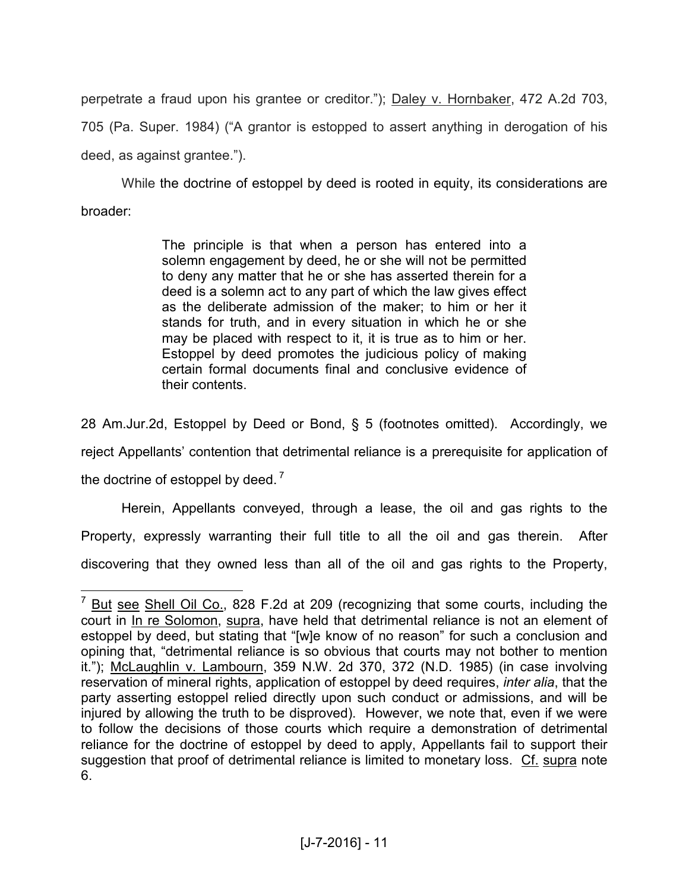perpetrate a fraud upon his grantee or creditor."); Daley v. Hornbaker, 472 A.2d 703, 705 (Pa. Super. 1984) ("A grantor is estopped to assert anything in derogation of his deed, as against grantee.").

 While the doctrine of estoppel by deed is rooted in equity, its considerations are broader:

> The principle is that when a person has entered into a solemn engagement by deed, he or she will not be permitted to deny any matter that he or she has asserted therein for a deed is a solemn act to any part of which the law gives effect as the deliberate admission of the maker; to him or her it stands for truth, and in every situation in which he or she may be placed with respect to it, it is true as to him or her. Estoppel by deed promotes the judicious policy of making certain formal documents final and conclusive evidence of their contents.

28 Am.Jur.2d, Estoppel by Deed or Bond, § 5 (footnotes omitted). Accordingly, we reject Appellants' contention that detrimental reliance is a prerequisite for application of the doctrine of estoppel by deed.<sup>7</sup>

 Herein, Appellants conveyed, through a lease, the oil and gas rights to the Property, expressly warranting their full title to all the oil and gas therein. After discovering that they owned less than all of the oil and gas rights to the Property,

TO TRICH THE CORRET CONTEXNET CONTEXNET THE TEATH CONTEXNET THE TEATH CONTEXNET THE TEATH COLLECT TEATH CONTE<br>THE SAME CONTEXNET SOME CONTEXNET THE SAME OIL CONTEXNET THE CONTEXNET CONTEXNET THE SAME CONTEXNET THE SAME C court in In re Solomon, supra, have held that detrimental reliance is not an element of estoppel by deed, but stating that "[w]e know of no reason" for such a conclusion and opining that, "detrimental reliance is so obvious that courts may not bother to mention it."); McLaughlin v. Lambourn, 359 N.W. 2d 370, 372 (N.D. 1985) (in case involving reservation of mineral rights, application of estoppel by deed requires, *inter alia*, that the party asserting estoppel relied directly upon such conduct or admissions, and will be injured by allowing the truth to be disproved). However, we note that, even if we were to follow the decisions of those courts which require a demonstration of detrimental reliance for the doctrine of estoppel by deed to apply, Appellants fail to support their suggestion that proof of detrimental reliance is limited to monetary loss. Cf. supra note 6.